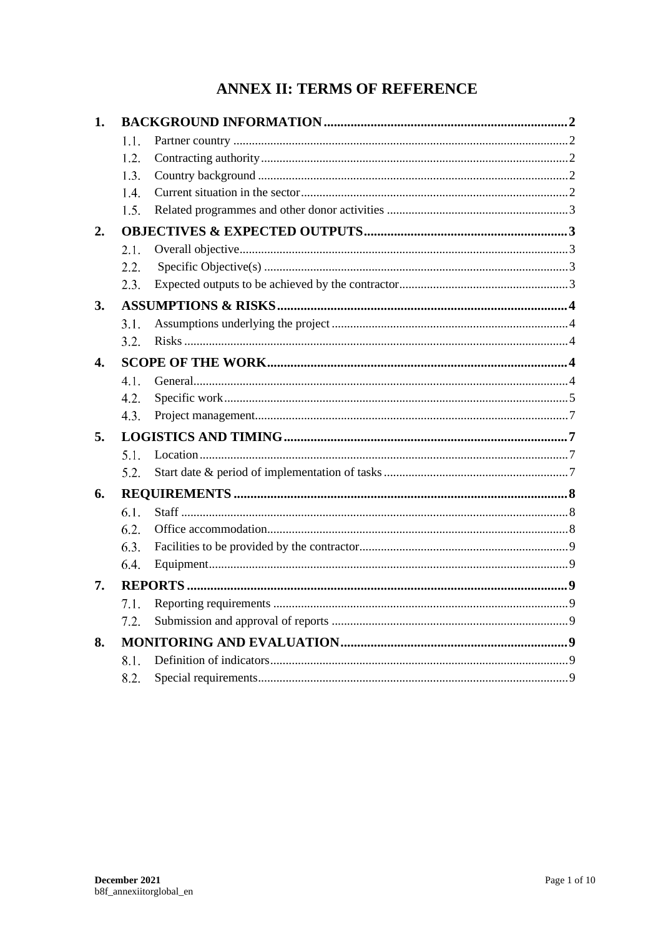# **ANNEX II: TERMS OF REFERENCE**

| 1.               |      |  |  |
|------------------|------|--|--|
|                  | 1.1. |  |  |
|                  | 1.2. |  |  |
|                  | 1.3. |  |  |
|                  | 1.4. |  |  |
|                  | 1.5. |  |  |
| 2.               |      |  |  |
|                  | 2.1. |  |  |
|                  | 2.2. |  |  |
|                  | 2.3. |  |  |
| 3.               |      |  |  |
|                  | 3.1. |  |  |
|                  | 3.2. |  |  |
| $\overline{4}$ . |      |  |  |
|                  | 4.1. |  |  |
|                  | 4.2. |  |  |
|                  | 4.3. |  |  |
| 5.               |      |  |  |
|                  | 5.1. |  |  |
|                  | 5.2. |  |  |
| 6.               |      |  |  |
|                  | 6.1. |  |  |
|                  | 6.2. |  |  |
|                  | 6.3. |  |  |
|                  | 6.4. |  |  |
| 7.               |      |  |  |
|                  | 7.1. |  |  |
|                  | 7.2. |  |  |
| 8.               |      |  |  |
|                  | 8.1. |  |  |
|                  | 8.2. |  |  |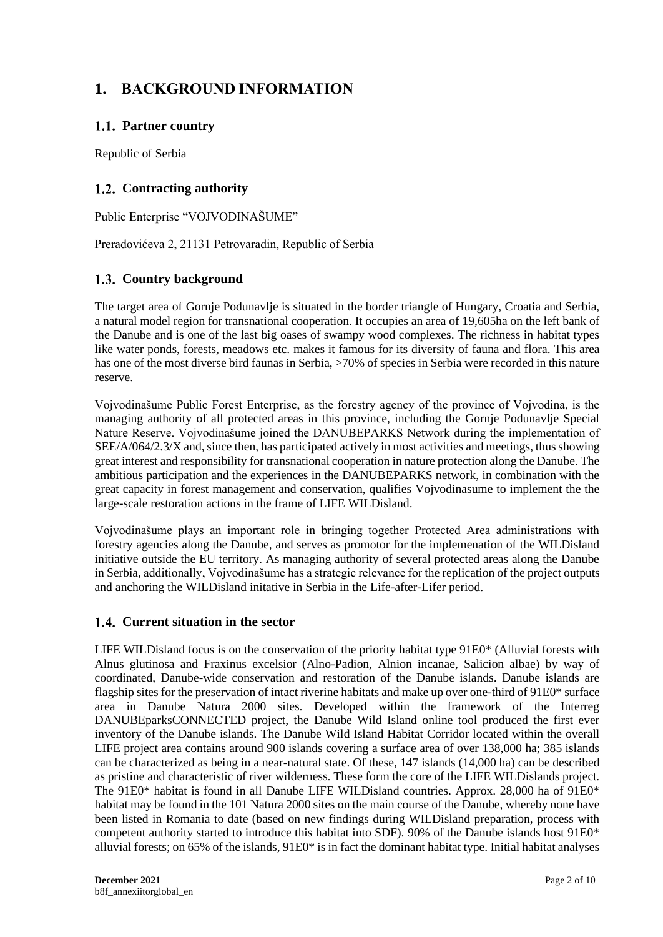# **1. BACKGROUND INFORMATION**

# **Partner country**

Republic of Serbia

# 1.2. Contracting authority

Public Enterprise "VOJVODINAŠUME"

Preradovićeva 2, 21131 Petrovaradin, Republic of Serbia

# 1.3. Country background

The target area of Gornje Podunavlje is situated in the border triangle of Hungary, Croatia and Serbia, a natural model region for transnational cooperation. It occupies an area of 19,605ha on the left bank of the Danube and is one of the last big oases of swampy wood complexes. The richness in habitat types like water ponds, forests, meadows etc. makes it famous for its diversity of fauna and flora. This area has one of the most diverse bird faunas in Serbia, >70% of species in Serbia were recorded in this nature reserve.

Vojvodinašume Public Forest Enterprise, as the forestry agency of the province of Vojvodina, is the managing authority of all protected areas in this province, including the Gornje Podunavlje Special Nature Reserve. Vojvodinašume joined the DANUBEPARKS Network during the implementation of SEE/A/064/2.3/X and, since then, has participated actively in most activities and meetings, thus showing great interest and responsibility for transnational cooperation in nature protection along the Danube. The ambitious participation and the experiences in the DANUBEPARKS network, in combination with the great capacity in forest management and conservation, qualifies Vojvodinasume to implement the the large-scale restoration actions in the frame of LIFE WILDisland.

Vojvodinašume plays an important role in bringing together Protected Area administrations with forestry agencies along the Danube, and serves as promotor for the implemenation of the WILDisland initiative outside the EU territory. As managing authority of several protected areas along the Danube in Serbia, additionally, Vojvodinašume has a strategic relevance for the replication of the project outputs and anchoring the WILDisland initative in Serbia in the Life-after-Lifer period.

## **Current situation in the sector**

LIFE WILDisland focus is on the conservation of the priority habitat type 91E0\* (Alluvial forests with Alnus glutinosa and Fraxinus excelsior (Alno-Padion, Alnion incanae, Salicion albae) by way of coordinated, Danube-wide conservation and restoration of the Danube islands. Danube islands are flagship sites for the preservation of intact riverine habitats and make up over one-third of 91E0\* surface area in Danube Natura 2000 sites. Developed within the framework of the Interreg DANUBEparksCONNECTED project, the Danube Wild Island online tool produced the first ever inventory of the Danube islands. The Danube Wild Island Habitat Corridor located within the overall LIFE project area contains around 900 islands covering a surface area of over 138,000 ha; 385 islands can be characterized as being in a near-natural state. Of these, 147 islands (14,000 ha) can be described as pristine and characteristic of river wilderness. These form the core of the LIFE WILDislands project. The 91E0\* habitat is found in all Danube LIFE WILDisland countries. Approx. 28,000 ha of 91E0\* habitat may be found in the 101 Natura 2000 sites on the main course of the Danube, whereby none have been listed in Romania to date (based on new findings during WILDisland preparation, process with competent authority started to introduce this habitat into SDF). 90% of the Danube islands host 91E0\* alluvial forests; on 65% of the islands, 91E0\* is in fact the dominant habitat type. Initial habitat analyses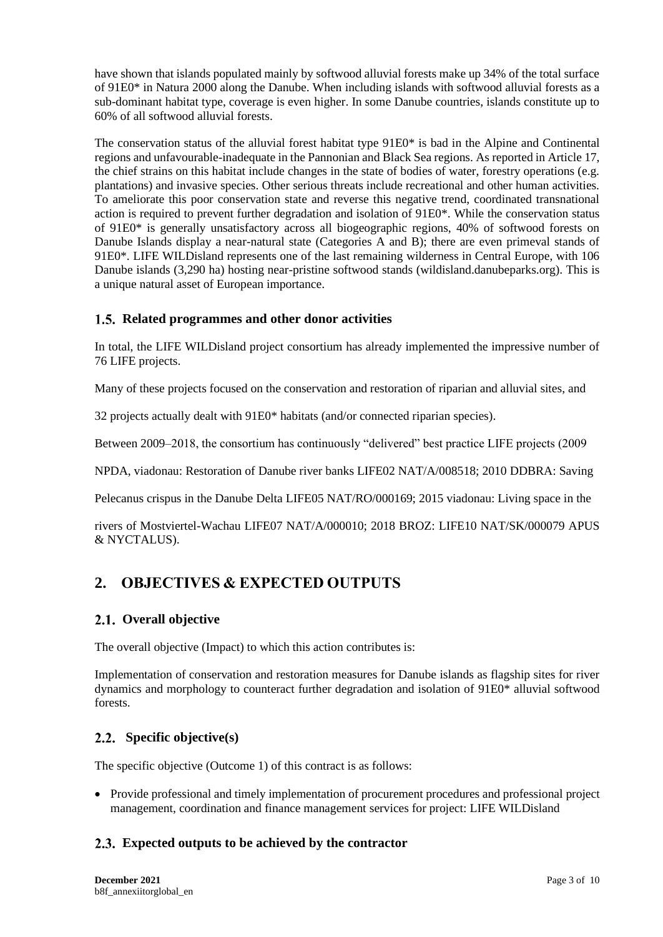have shown that islands populated mainly by softwood alluvial forests make up 34% of the total surface of 91E0\* in Natura 2000 along the Danube. When including islands with softwood alluvial forests as a sub-dominant habitat type, coverage is even higher. In some Danube countries, islands constitute up to 60% of all softwood alluvial forests.

The conservation status of the alluvial forest habitat type 91E0\* is bad in the Alpine and Continental regions and unfavourable-inadequate in the Pannonian and Black Sea regions. As reported in Article 17, the chief strains on this habitat include changes in the state of bodies of water, forestry operations (e.g. plantations) and invasive species. Other serious threats include recreational and other human activities. To ameliorate this poor conservation state and reverse this negative trend, coordinated transnational action is required to prevent further degradation and isolation of 91E0\*. While the conservation status of 91E0\* is generally unsatisfactory across all biogeographic regions, 40% of softwood forests on Danube Islands display a near-natural state (Categories A and B); there are even primeval stands of 91E0\*. LIFE WILDisland represents one of the last remaining wilderness in Central Europe, with 106 Danube islands (3,290 ha) hosting near-pristine softwood stands (wildisland.danubeparks.org). This is a unique natural asset of European importance.

# **Related programmes and other donor activities**

In total, the LIFE WILDisland project consortium has already implemented the impressive number of 76 LIFE projects.

Many of these projects focused on the conservation and restoration of riparian and alluvial sites, and

32 projects actually dealt with 91E0\* habitats (and/or connected riparian species).

Between 2009–2018, the consortium has continuously "delivered" best practice LIFE projects (2009

NPDA, viadonau: Restoration of Danube river banks LIFE02 NAT/A/008518; 2010 DDBRA: Saving

Pelecanus crispus in the Danube Delta LIFE05 NAT/RO/000169; 2015 viadonau: Living space in the

rivers of Mostviertel-Wachau LIFE07 NAT/A/000010; 2018 BROZ: LIFE10 NAT/SK/000079 APUS & NYCTALUS).

# **2. OBJECTIVES & EXPECTED OUTPUTS**

# **Overall objective**

The overall objective (Impact) to which this action contributes is:

Implementation of conservation and restoration measures for Danube islands as flagship sites for river dynamics and morphology to counteract further degradation and isolation of 91E0\* alluvial softwood forests.

## **Specific objective(s)**

The specific objective (Outcome 1) of this contract is as follows:

• Provide professional and timely implementation of procurement procedures and professional project management, coordination and finance management services for project: LIFE WILDisland

# **Expected outputs to be achieved by the contractor**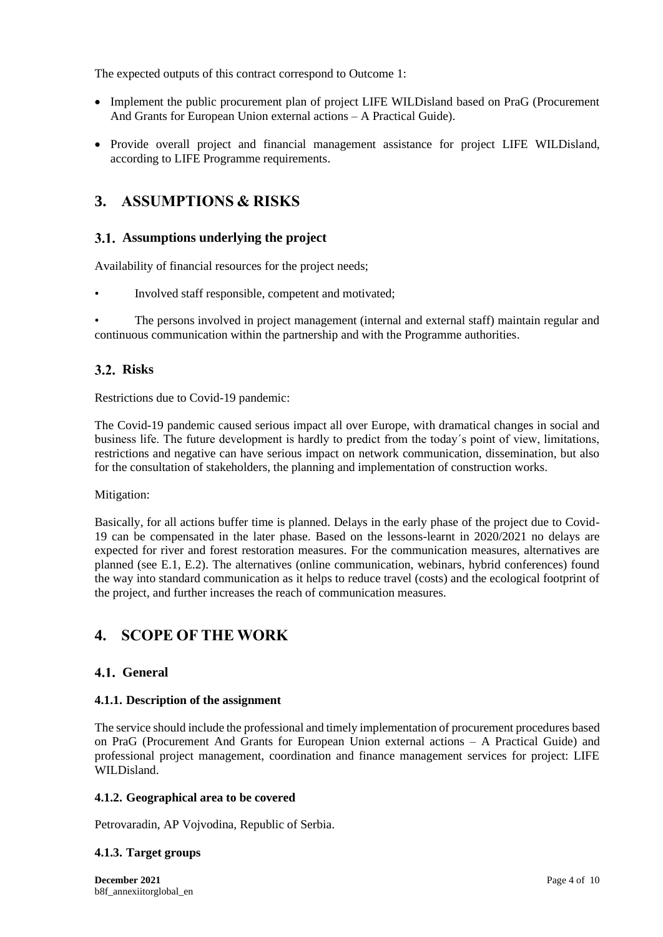The expected outputs of this contract correspond to Outcome 1:

- Implement the public procurement plan of project LIFE WILDisland based on PraG (Procurement And Grants for European Union external actions – A Practical Guide).
- Provide overall project and financial management assistance for project LIFE WILDisland, according to LIFE Programme requirements.

# **3. ASSUMPTIONS & RISKS**

## **Assumptions underlying the project**

Availability of financial resources for the project needs;

• Involved staff responsible, competent and motivated;

• The persons involved in project management (internal and external staff) maintain regular and continuous communication within the partnership and with the Programme authorities.

## **Risks**

Restrictions due to Covid-19 pandemic:

The Covid-19 pandemic caused serious impact all over Europe, with dramatical changes in social and business life. The future development is hardly to predict from the today´s point of view, limitations, restrictions and negative can have serious impact on network communication, dissemination, but also for the consultation of stakeholders, the planning and implementation of construction works.

Mitigation:

Basically, for all actions buffer time is planned. Delays in the early phase of the project due to Covid-19 can be compensated in the later phase. Based on the lessons-learnt in 2020/2021 no delays are expected for river and forest restoration measures. For the communication measures, alternatives are planned (see E.1, E.2). The alternatives (online communication, webinars, hybrid conferences) found the way into standard communication as it helps to reduce travel (costs) and the ecological footprint of the project, and further increases the reach of communication measures.

# **4. SCOPE OF THE WORK**

### **General**

### **4.1.1. Description of the assignment**

The service should include the professional and timely implementation of procurement procedures based on PraG (Procurement And Grants for European Union external actions – A Practical Guide) and professional project management, coordination and finance management services for project: LIFE WILDisland.

### **4.1.2. Geographical area to be covered**

Petrovaradin, AP Vojvodina, Republic of Serbia.

### **4.1.3. Target groups**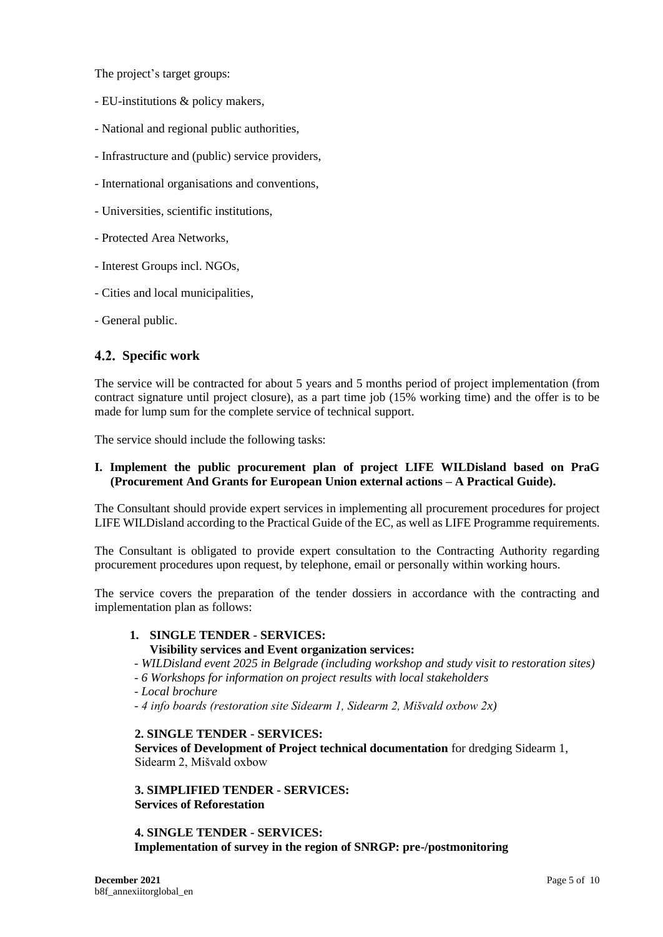The project's target groups:

- EU-institutions & policy makers,
- National and regional public authorities,
- Infrastructure and (public) service providers,
- International organisations and conventions,
- Universities, scientific institutions,
- Protected Area Networks,
- Interest Groups incl. NGOs,
- Cities and local municipalities,
- General public.

# **Specific work**

The service will be contracted for about 5 years and 5 months period of project implementation (from contract signature until project closure), as a part time job (15% working time) and the offer is to be made for lump sum for the complete service of technical support.

The service should include the following tasks:

### **I. Implement the public procurement plan of project LIFE WILDisland based on PraG (Procurement And Grants for European Union external actions – A Practical Guide).**

The Consultant should provide expert services in implementing all procurement procedures for project LIFE WILDisland according to the Practical Guide of the EC, as well as LIFE Programme requirements.

The Consultant is obligated to provide expert consultation to the Contracting Authority regarding procurement procedures upon request, by telephone, email or personally within working hours.

The service covers the preparation of the tender dossiers in accordance with the contracting and implementation plan as follows:

### **1. SINGLE TENDER - SERVICES:**

### **Visibility services and Event organization services:**

*- WILDisland event 2025 in Belgrade (including workshop and study visit to restoration sites)* 

*- 6 Workshops for information on project results with local stakeholders* 

- *Local brochure* 

*- 4 info boards (restoration site Sidearm 1, Sidearm 2, Mišvald oxbow 2x)* 

### **2. SINGLE TENDER - SERVICES:**

**Services of Development of Project technical documentation** for dredging Sidearm 1, Sidearm 2, Mišvald oxbow

**3. SIMPLIFIED TENDER - SERVICES: Services of Reforestation**

**4. SINGLE TENDER - SERVICES: Implementation of survey in the region of SNRGP: pre-/postmonitoring**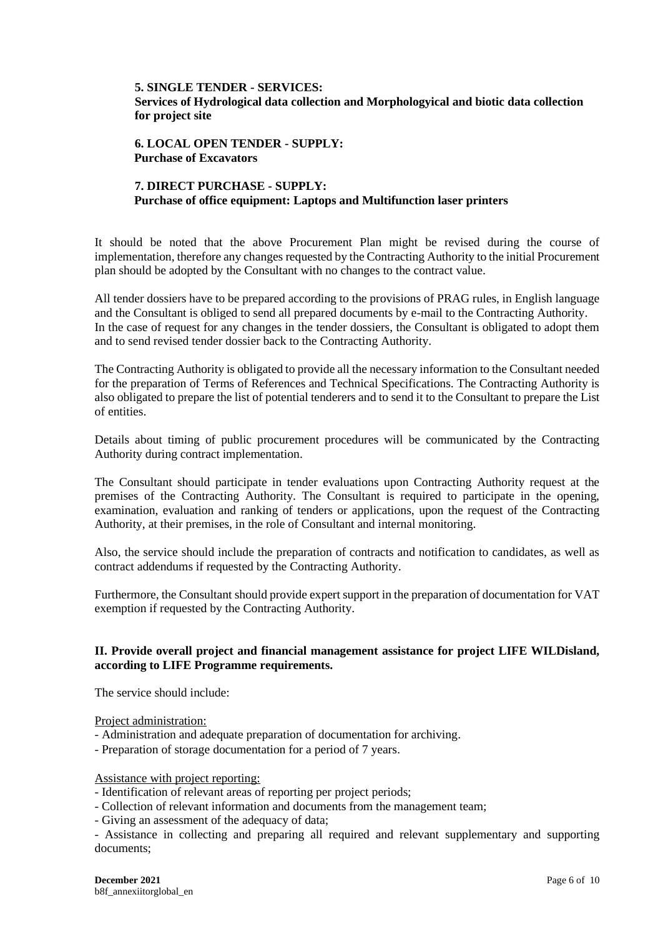# **5. SINGLE TENDER - SERVICES:**

**Services of Hydrological data collection and Morphologyical and biotic data collection for project site**

**6. LOCAL OPEN TENDER - SUPPLY: Purchase of Excavators** 

## **7. DIRECT PURCHASE - SUPPLY: Purchase of office equipment: Laptops and Multifunction laser printers**

It should be noted that the above Procurement Plan might be revised during the course of implementation, therefore any changes requested by the Contracting Authority to the initial Procurement plan should be adopted by the Consultant with no changes to the contract value.

All tender dossiers have to be prepared according to the provisions of PRAG rules, in English language and the Consultant is obliged to send all prepared documents by e-mail to the Contracting Authority. In the case of request for any changes in the tender dossiers, the Consultant is obligated to adopt them and to send revised tender dossier back to the Contracting Authority.

The Contracting Authority is obligated to provide all the necessary information to the Consultant needed for the preparation of Terms of References and Technical Specifications. The Contracting Authority is also obligated to prepare the list of potential tenderers and to send it to the Consultant to prepare the List of entities.

Details about timing of public procurement procedures will be communicated by the Contracting Authority during contract implementation.

The Consultant should participate in tender evaluations upon Contracting Authority request at the premises of the Contracting Authority. The Consultant is required to participate in the opening, examination, evaluation and ranking of tenders or applications, upon the request of the Contracting Authority, at their premises, in the role of Consultant and internal monitoring.

Also, the service should include the preparation of contracts and notification to candidates, as well as contract addendums if requested by the Contracting Authority.

Furthermore, the Consultant should provide expert support in the preparation of documentation for VAT exemption if requested by the Contracting Authority.

### **II. Provide overall project and financial management assistance for project LIFE WILDisland, according to LIFE Programme requirements.**

The service should include:

Project administration:

- Administration and adequate preparation of documentation for archiving.
- Preparation of storage documentation for a period of 7 years.

#### Assistance with project reporting:

- Identification of relevant areas of reporting per project periods;
- Collection of relevant information and documents from the management team;
- Giving an assessment of the adequacy of data;

- Assistance in collecting and preparing all required and relevant supplementary and supporting documents;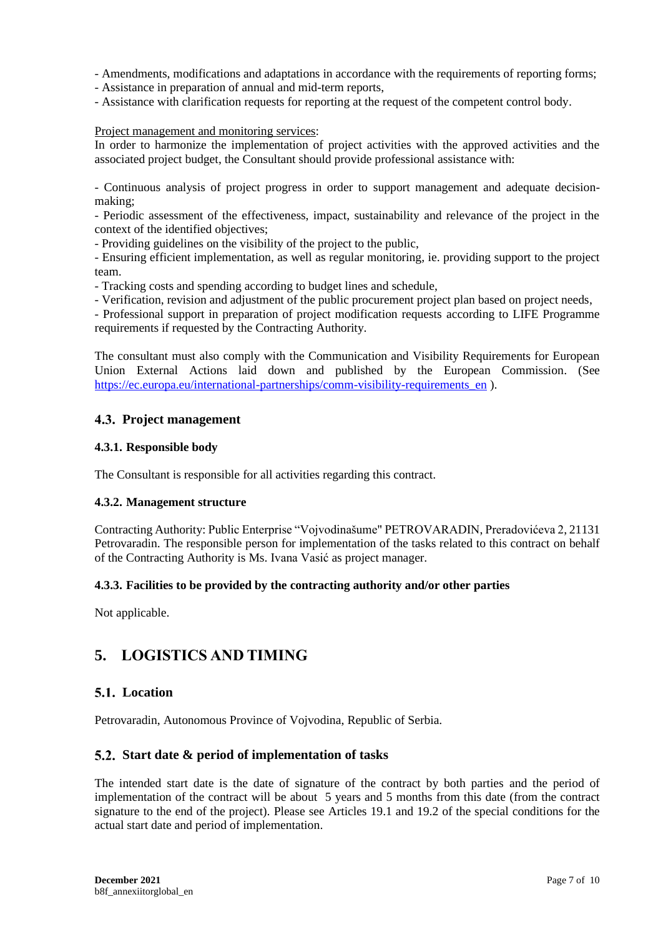- Amendments, modifications and adaptations in accordance with the requirements of reporting forms;

- Assistance in preparation of annual and mid-term reports,

- Assistance with clarification requests for reporting at the request of the competent control body.

#### Project management and monitoring services:

In order to harmonize the implementation of project activities with the approved activities and the associated project budget, the Consultant should provide professional assistance with:

- Continuous analysis of project progress in order to support management and adequate decisionmaking;

- Periodic assessment of the effectiveness, impact, sustainability and relevance of the project in the context of the identified objectives;

- Providing guidelines on the visibility of the project to the public,

- Ensuring efficient implementation, as well as regular monitoring, ie. providing support to the project team.

- Tracking costs and spending according to budget lines and schedule,

- Verification, revision and adjustment of the public procurement project plan based on project needs,

- Professional support in preparation of project modification requests according to LIFE Programme requirements if requested by the Contracting Authority.

The consultant must also comply with the Communication and Visibility Requirements for European Union External Actions laid down and published by the European Commission. (See https://ec.europa.eu/international-partnerships/comm-visibility-requirements en ).

### **Project management**

#### **4.3.1. Responsible body**

The Consultant is responsible for all activities regarding this contract.

### **4.3.2. Management structure**

Contracting Authority: Public Enterprise "Vojvodinašume" PETROVARADIN, Preradovićeva 2, 21131 Petrovaradin. The responsible person for implementation of the tasks related to this contract on behalf of the Contracting Authority is Ms. Ivana Vasić as project manager.

### **4.3.3. Facilities to be provided by the contracting authority and/or other parties**

Not applicable.

# **5. LOGISTICS AND TIMING**

### **Location**

Petrovaradin, Autonomous Province of Vojvodina, Republic of Serbia.

### **Start date & period of implementation of tasks**

The intended start date is the date of signature of the contract by both parties and the period of implementation of the contract will be about 5 years and 5 months from this date (from the contract signature to the end of the project). Please see Articles 19.1 and 19.2 of the special conditions for the actual start date and period of implementation.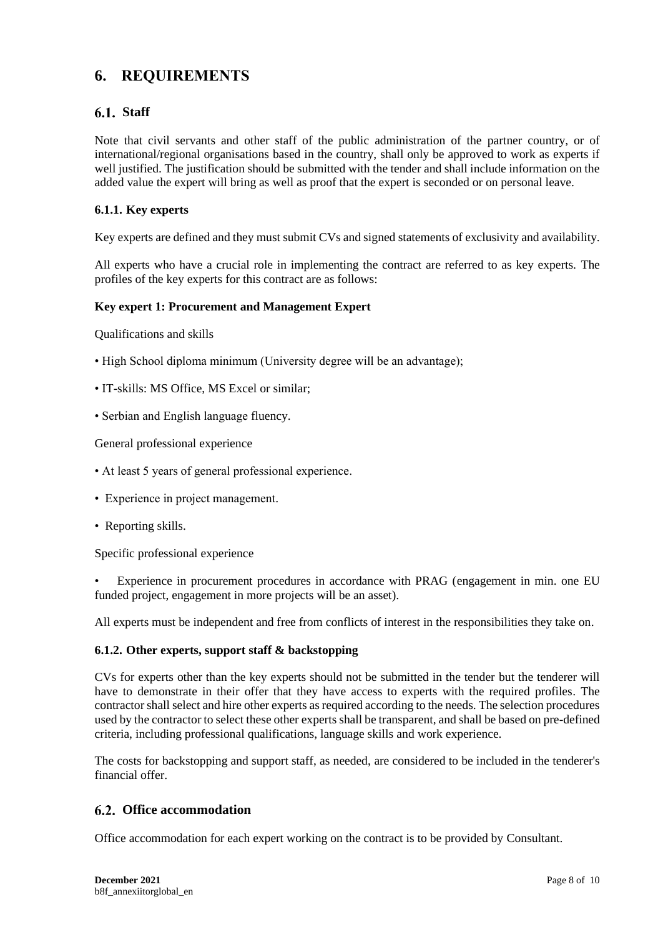# **6. REQUIREMENTS**

## **Staff**

Note that civil servants and other staff of the public administration of the partner country, or of international/regional organisations based in the country, shall only be approved to work as experts if well justified. The justification should be submitted with the tender and shall include information on the added value the expert will bring as well as proof that the expert is seconded or on personal leave.

### **6.1.1. Key experts**

Key experts are defined and they must submit CVs and signed statements of exclusivity and availability.

All experts who have a crucial role in implementing the contract are referred to as key experts. The profiles of the key experts for this contract are as follows:

### **Key expert 1: Procurement and Management Expert**

Qualifications and skills

- High School diploma minimum (University degree will be an advantage);
- IT-skills: MS Office, MS Excel or similar;
- Serbian and English language fluency.

General professional experience

- At least 5 years of general professional experience.
- Experience in project management.
- Reporting skills.

Specific professional experience

• Experience in procurement procedures in accordance with PRAG (engagement in min. one EU funded project, engagement in more projects will be an asset).

All experts must be independent and free from conflicts of interest in the responsibilities they take on.

### **6.1.2. Other experts, support staff & backstopping**

CVs for experts other than the key experts should not be submitted in the tender but the tenderer will have to demonstrate in their offer that they have access to experts with the required profiles. The contractorshall select and hire other experts as required according to the needs. The selection procedures used by the contractor to select these other experts shall be transparent, and shall be based on pre-defined criteria, including professional qualifications, language skills and work experience.

The costs for backstopping and support staff, as needed, are considered to be included in the tenderer's financial offer.

## **Office accommodation**

Office accommodation for each expert working on the contract is to be provided by Consultant.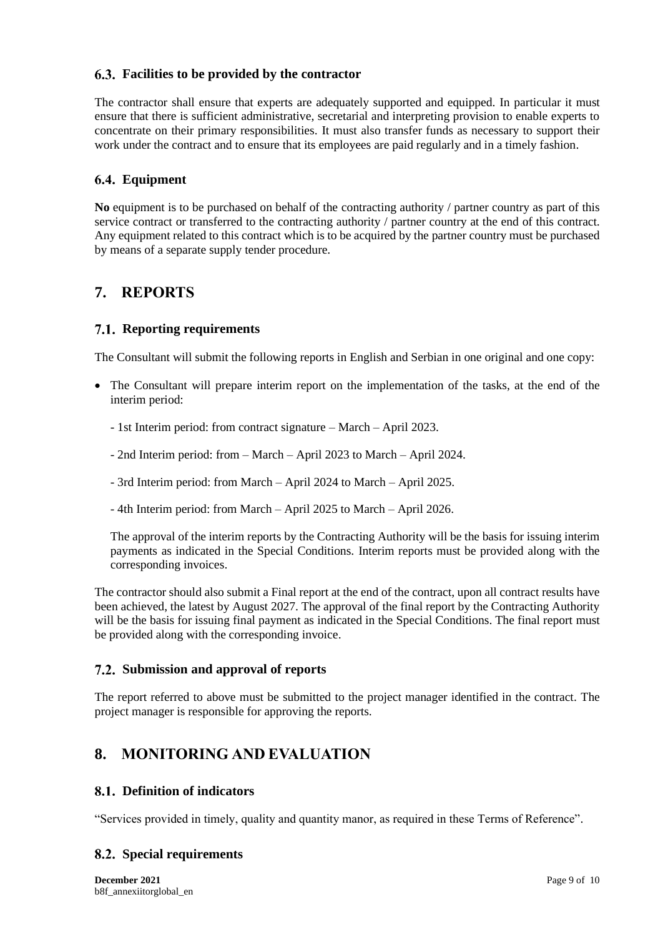## **Facilities to be provided by the contractor**

The contractor shall ensure that experts are adequately supported and equipped. In particular it must ensure that there is sufficient administrative, secretarial and interpreting provision to enable experts to concentrate on their primary responsibilities. It must also transfer funds as necessary to support their work under the contract and to ensure that its employees are paid regularly and in a timely fashion.

# **Equipment**

**No** equipment is to be purchased on behalf of the contracting authority / partner country as part of this service contract or transferred to the contracting authority / partner country at the end of this contract. Any equipment related to this contract which is to be acquired by the partner country must be purchased by means of a separate supply tender procedure.

# **7. REPORTS**

## **7.1. Reporting requirements**

The Consultant will submit the following reports in English and Serbian in one original and one copy:

- The Consultant will prepare interim report on the implementation of the tasks, at the end of the interim period:
	- 1st Interim period: from contract signature March April 2023.
	- 2nd Interim period: from March April 2023 to March April 2024.
	- 3rd Interim period: from March April 2024 to March April 2025.
	- 4th Interim period: from March April 2025 to March April 2026.

The approval of the interim reports by the Contracting Authority will be the basis for issuing interim payments as indicated in the Special Conditions. Interim reports must be provided along with the corresponding invoices.

The contractor should also submit a Final report at the end of the contract, upon all contract results have been achieved, the latest by August 2027. The approval of the final report by the Contracting Authority will be the basis for issuing final payment as indicated in the Special Conditions. The final report must be provided along with the corresponding invoice.

## **Submission and approval of reports**

The report referred to above must be submitted to the project manager identified in the contract. The project manager is responsible for approving the reports.

# **8. MONITORING AND EVALUATION**

## **Definition of indicators**

"Services provided in timely, quality and quantity manor, as required in these Terms of Reference".

## **Special requirements**